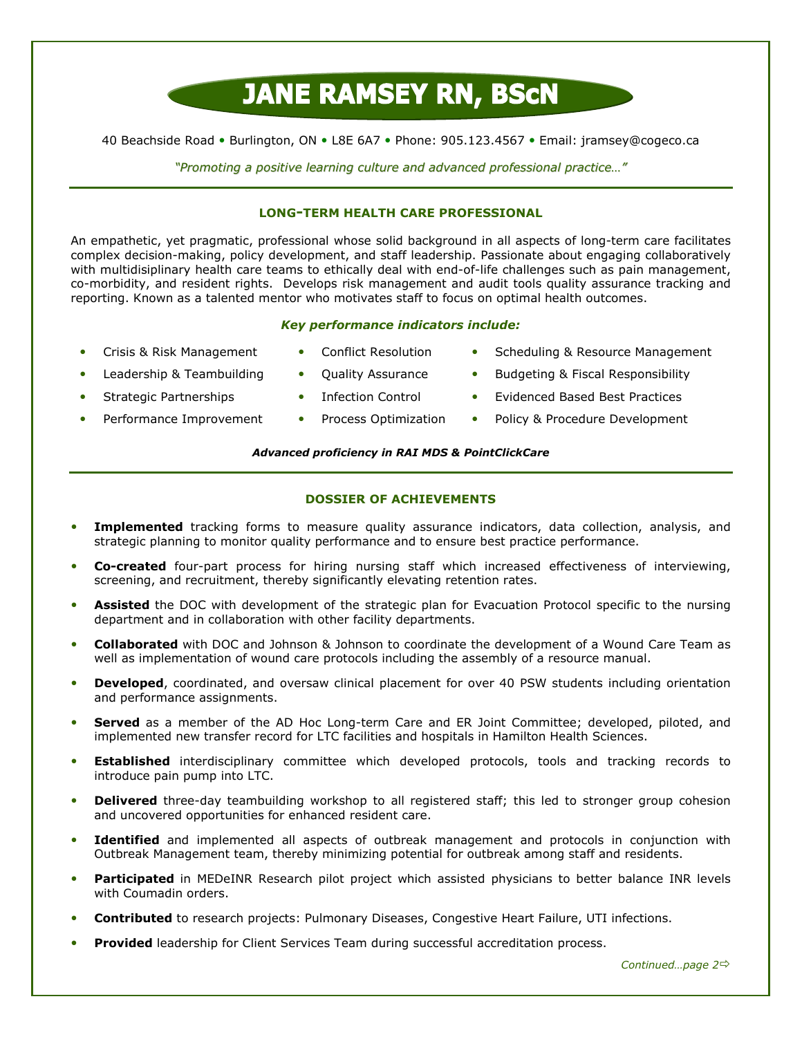# **JANE RAMSEY RN, BSCN**

40 Beachside Road • Burlington, ON • L8E 6A7 • Phone: 905.123.4567 • Email: jramsey@cogeco.ca

"Promoting a positive learning culture and advanced professional practice…"

#### LONG-TERM HEALTH CARE PROFESSIONAL

An empathetic, yet pragmatic, professional whose solid background in all aspects of long-term care facilitates complex decision-making, policy development, and staff leadership. Passionate about engaging collaboratively with multidisiplinary health care teams to ethically deal with end-of-life challenges such as pain management, co-morbidity, and resident rights. Develops risk management and audit tools quality assurance tracking and reporting. Known as a talented mentor who motivates staff to focus on optimal health outcomes.

#### Key performance indicators include:

- Crisis & Risk Management Conflict Resolution Scheduling & Resource Management
- 
- Leadership & Teambuilding Quality Assurance Budgeting & Fiscal Responsibility
- 
- 
- 
- 
- 
- Strategic Partnerships Infection Control Evidenced Based Best Practices
	- Performance Improvement Process Optimization Policy & Procedure Development

#### Advanced proficiency in RAI MDS & PointClickCare

#### DOSSIER OF ACHIEVEMENTS

- Implemented tracking forms to measure quality assurance indicators, data collection, analysis, and strategic planning to monitor quality performance and to ensure best practice performance.
- Co-created four-part process for hiring nursing staff which increased effectiveness of interviewing, screening, and recruitment, thereby significantly elevating retention rates.
- Assisted the DOC with development of the strategic plan for Evacuation Protocol specific to the nursing department and in collaboration with other facility departments.
- Collaborated with DOC and Johnson & Johnson to coordinate the development of a Wound Care Team as well as implementation of wound care protocols including the assembly of a resource manual.
- Developed, coordinated, and oversaw clinical placement for over 40 PSW students including orientation and performance assignments.
- **Served** as a member of the AD Hoc Long-term Care and ER Joint Committee; developed, piloted, and implemented new transfer record for LTC facilities and hospitals in Hamilton Health Sciences.
- Established interdisciplinary committee which developed protocols, tools and tracking records to introduce pain pump into LTC.
- **Delivered** three-day teambuilding workshop to all registered staff; this led to stronger group cohesion and uncovered opportunities for enhanced resident care.
- **Identified** and implemented all aspects of outbreak management and protocols in conjunction with Outbreak Management team, thereby minimizing potential for outbreak among staff and residents.
- Participated in MEDeINR Research pilot project which assisted physicians to better balance INR levels with Coumadin orders.
- Contributed to research projects: Pulmonary Diseases, Congestive Heart Failure, UTI infections.
- **Provided** leadership for Client Services Team during successful accreditation process.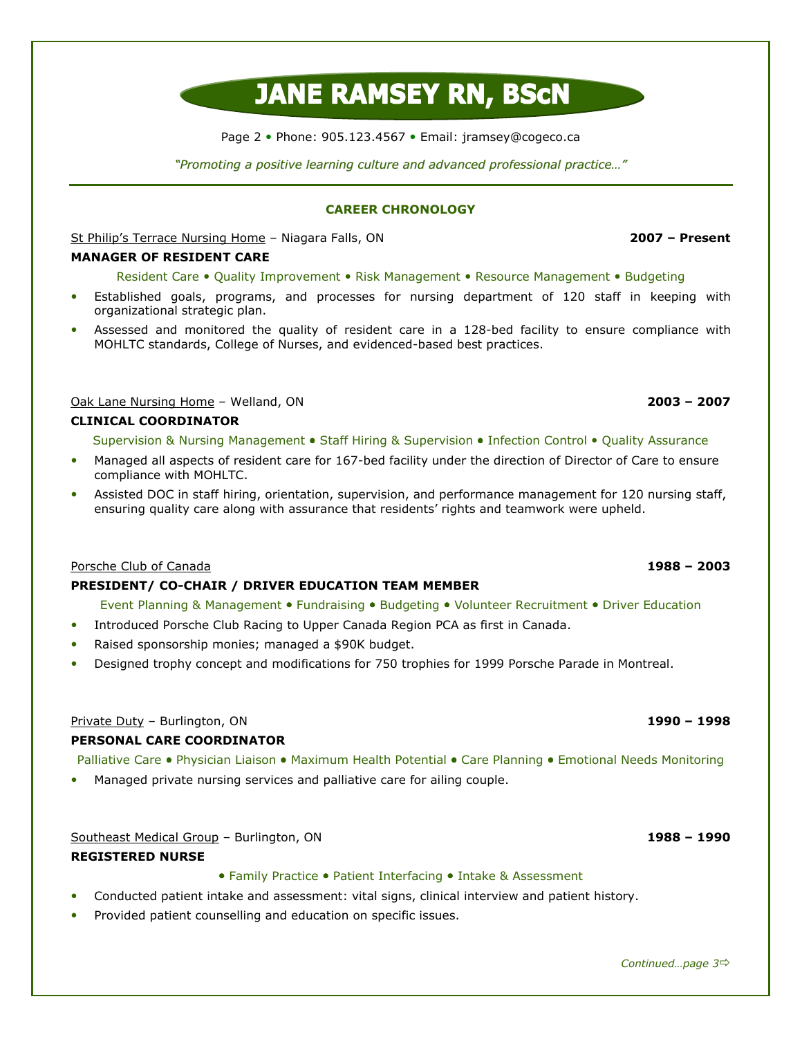# **JANE RAMSEY RN, BSCN**

Page 2 · Phone: 905.123.4567 · Email: jramsey@cogeco.ca

"Promoting a positive learning culture and advanced professional practice…"

#### CAREER CHRONOLOGY

St Philip's Terrace Nursing Home – Niagara Falls, ON 2007 – Present

#### MANAGER OF RESIDENT CARE

Resident Care • Quality Improvement • Risk Management • Resource Management • Budgeting

- Established goals, programs, and processes for nursing department of 120 staff in keeping with organizational strategic plan.
- Assessed and monitored the quality of resident care in a 128-bed facility to ensure compliance with MOHLTC standards, College of Nurses, and evidenced-based best practices.

### Oak Lane Nursing Home – Welland, ON 2003 – 2007

#### CLINICAL COORDINATOR

Supervision & Nursing Management • Staff Hiring & Supervision • Infection Control • Quality Assurance

- Managed all aspects of resident care for 167-bed facility under the direction of Director of Care to ensure compliance with MOHLTC.
- Assisted DOC in staff hiring, orientation, supervision, and performance management for 120 nursing staff, ensuring quality care along with assurance that residents' rights and teamwork were upheld.

#### Porsche Club of Canada 2003 – 2003 – 2003 – 2003 – 2003 – 2003 – 2003 – 2003 – 2003 – 2003 – 2003 – 2003 – 2003

#### PRESIDENT/ CO-CHAIR / DRIVER EDUCATION TEAM MEMBER

Event Planning & Management • Fundraising • Budgeting • Volunteer Recruitment • Driver Education

- Introduced Porsche Club Racing to Upper Canada Region PCA as first in Canada.
- Raised sponsorship monies; managed a \$90K budget.
- Designed trophy concept and modifications for 750 trophies for 1999 Porsche Parade in Montreal.

#### Private Duty – Burlington, ON 1990 – 1998 Private Duty – 1998 – 1998

#### PERSONAL CARE COORDINATOR

Palliative Care • Physician Liaison • Maximum Health Potential • Care Planning • Emotional Needs Monitoring

Managed private nursing services and palliative care for ailing couple.

Southeast Medical Group – Burlington, ON 1988 – 1990

#### REGISTERED NURSE

• Family Practice • Patient Interfacing • Intake & Assessment

- Conducted patient intake and assessment: vital signs, clinical interview and patient history.
- Provided patient counselling and education on specific issues.

#### Continued...page 3